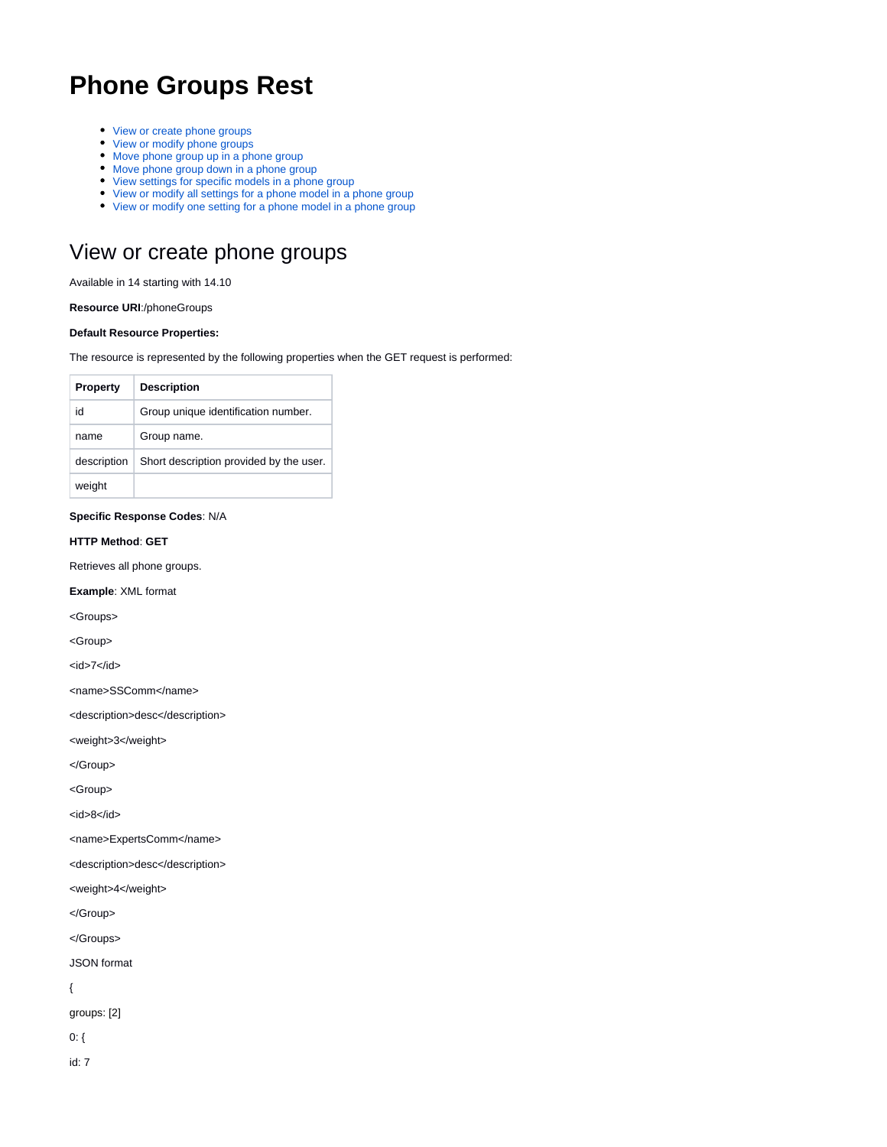# **Phone Groups Rest**

- [View or create phone groups](#page-0-0)
- [View or modify phone groups](#page-1-0)
- [Move phone group up in a phone group](#page-2-0)
- [Move phone group down in a phone group](#page-2-1)
- [View settings for specific models in a phone group](#page-2-2)
- [View or modify all settings for a phone model in a phone group](#page-5-0) • [View or modify one setting for a phone model in a phone group](#page-9-0)

### <span id="page-0-0"></span>View or create phone groups

Available in 14 starting with 14.10

**Resource URI**:/phoneGroups

#### **Default Resource Properties:**

The resource is represented by the following properties when the GET request is performed:

| <b>Property</b> | <b>Description</b>                      |
|-----------------|-----------------------------------------|
| id              | Group unique identification number.     |
| name            | Group name.                             |
| description     | Short description provided by the user. |
| weight          |                                         |

#### **Specific Response Codes**: N/A

#### **HTTP Method**: **GET**

Retrieves all phone groups.

**Example**: XML format

<Groups>

<Group>

<id>7</id>

<name>SSComm</name>

<description>desc</description>

<weight>3</weight>

</Group>

<Group>

<id>8</id>

<name>ExpertsComm</name>

<description>desc</description>

<weight>4</weight>

</Group>

</Groups>

JSON format

{

groups: [2]

0: {

id: 7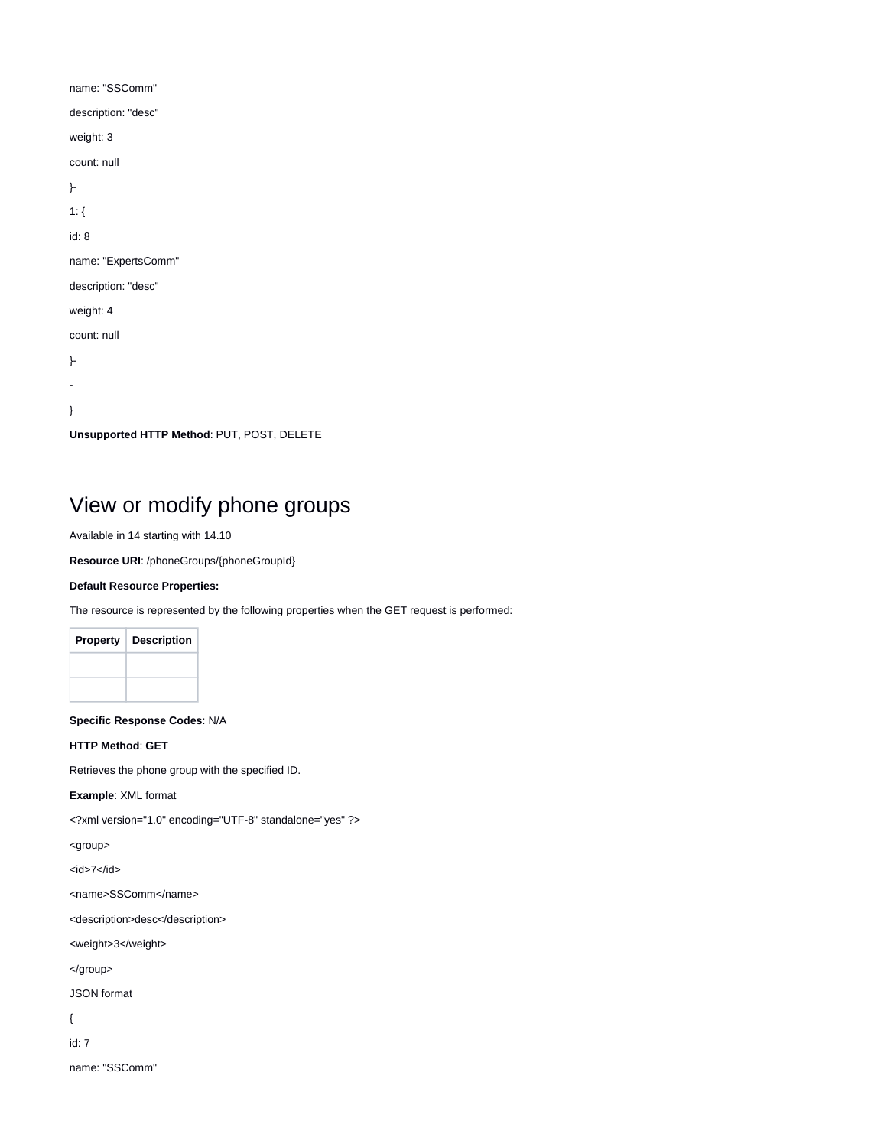| name: "SSComm"                             |
|--------------------------------------------|
| description: "desc"                        |
| weight: 3                                  |
| count: null                                |
| }-                                         |
| $1:$ {                                     |
| id: 8                                      |
| name: "ExpertsComm"                        |
| description: "desc"                        |
| weight: 4                                  |
| count: null                                |
| }-                                         |
|                                            |
| ł                                          |
| Unsupported HTTP Method: PUT, POST, DELETE |

# <span id="page-1-0"></span>View or modify phone groups

Available in 14 starting with 14.10

**Resource URI**: /phoneGroups/{phoneGroupId}

#### **Default Resource Properties:**

The resource is represented by the following properties when the GET request is performed:

| <b>Property</b> | <b>Description</b> |
|-----------------|--------------------|
|                 |                    |
|                 |                    |

**Specific Response Codes**: N/A

#### **HTTP Method**: **GET**

Retrieves the phone group with the specified ID.

**Example**: XML format

<?xml version="1.0" encoding="UTF-8" standalone="yes" ?>

<group>

 $<$ id>7 $<$ /id>

<name>SSComm</name>

<description>desc</description>

<weight>3</weight>

</group>

JSON format

{

id: 7

name: "SSComm"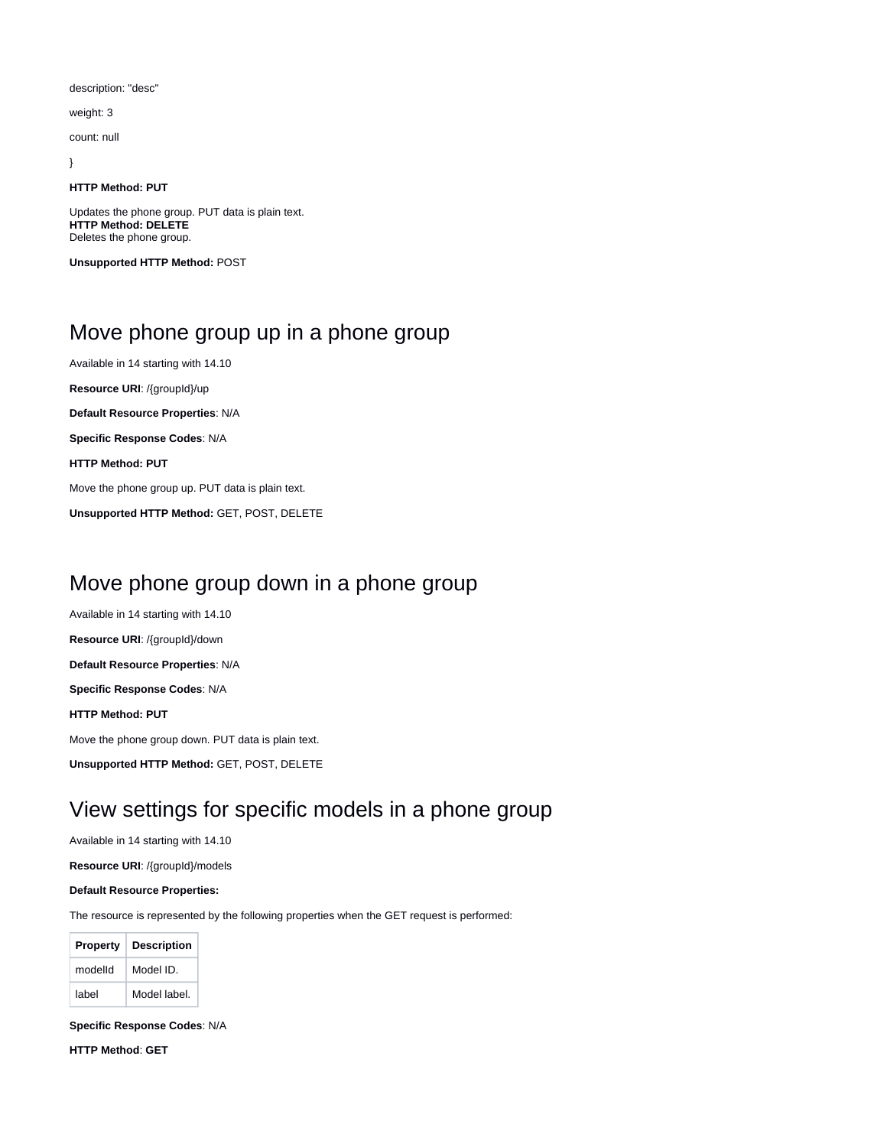description: "desc"

weight: 3

count: null

}

#### **HTTP Method: PUT**

Updates the phone group. PUT data is plain text. **HTTP Method: DELETE** Deletes the phone group.

**Unsupported HTTP Method:** POST

## <span id="page-2-0"></span>Move phone group up in a phone group

Available in 14 starting with 14.10

**Resource URI**: /{groupId}/up

**Default Resource Properties**: N/A

**Specific Response Codes**: N/A

**HTTP Method: PUT**

Move the phone group up. PUT data is plain text.

**Unsupported HTTP Method:** GET, POST, DELETE

### <span id="page-2-1"></span>Move phone group down in a phone group

Available in 14 starting with 14.10

**Resource URI**: /{groupId}/down

**Default Resource Properties**: N/A

**Specific Response Codes**: N/A

**HTTP Method: PUT**

Move the phone group down. PUT data is plain text.

**Unsupported HTTP Method:** GET, POST, DELETE

## <span id="page-2-2"></span>View settings for specific models in a phone group

Available in 14 starting with 14.10

**Resource URI**: /{groupId}/models

#### **Default Resource Properties:**

The resource is represented by the following properties when the GET request is performed:

| <b>Property</b> | <b>Description</b> |
|-----------------|--------------------|
| modelld         | Model ID.          |
| label           | Model label.       |

**Specific Response Codes**: N/A

**HTTP Method**: **GET**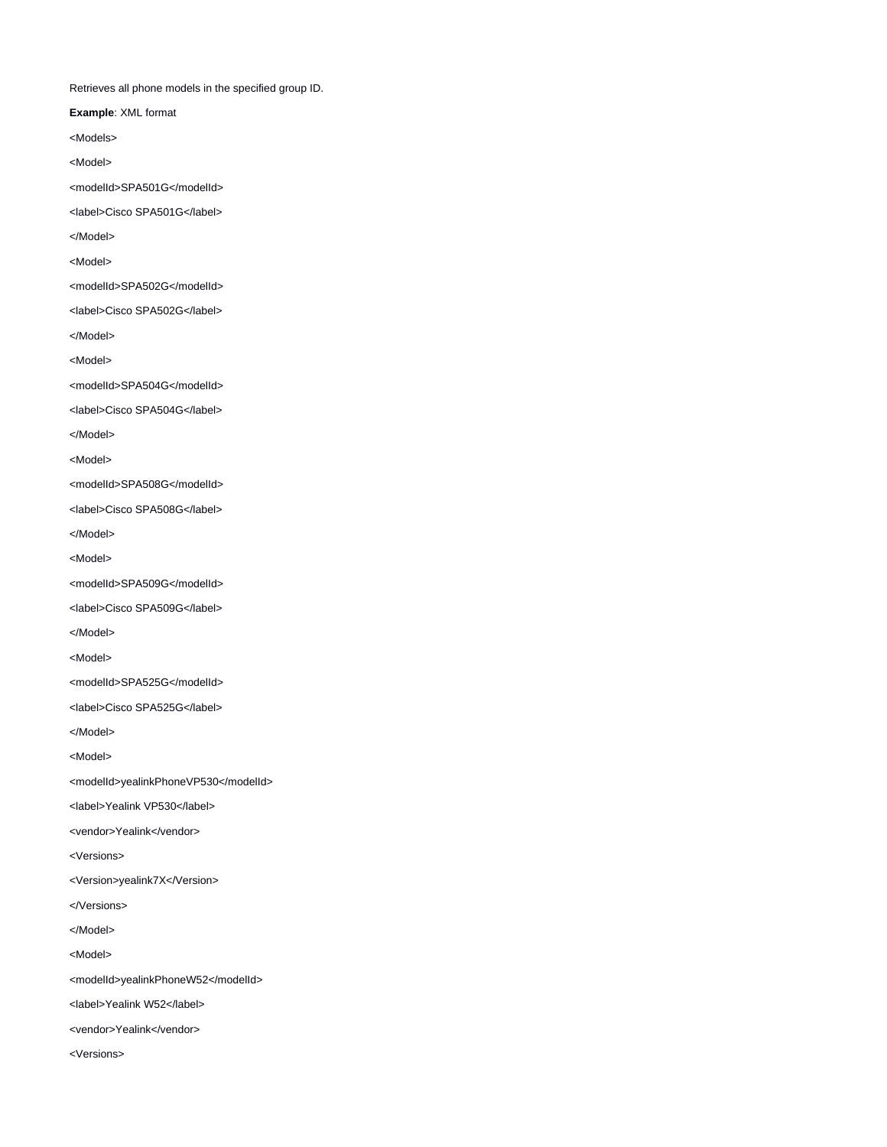Retrieves all phone models in the specified group ID.

**Example**: XML format

<Models>

<Model>

<modelId>SPA501G</modelId>

<label>Cisco SPA501G</label>

</Model>

<Model>

<modelId>SPA502G</modelId>

<label>Cisco SPA502G</label>

</Model>

<Model>

<modelId>SPA504G</modelId>

<label>Cisco SPA504G</label>

</Model>

<Model>

<modelId>SPA508G</modelId>

<label>Cisco SPA508G</label>

</Model>

<Model>

<modelId>SPA509G</modelId>

<label>Cisco SPA509G</label>

</Model>

<Model>

<modelId>SPA525G</modelId>

<label>Cisco SPA525G</label>

</Model>

<Model>

<modelId>yealinkPhoneVP530</modelId>

<label>Yealink VP530</label>

<vendor>Yealink</vendor>

<Versions>

<Version>yealink7X</Version>

</Versions>

</Model>

<Model>

<modelId>yealinkPhoneW52</modelId>

<label>Yealink W52</label>

<vendor>Yealink</vendor>

<Versions>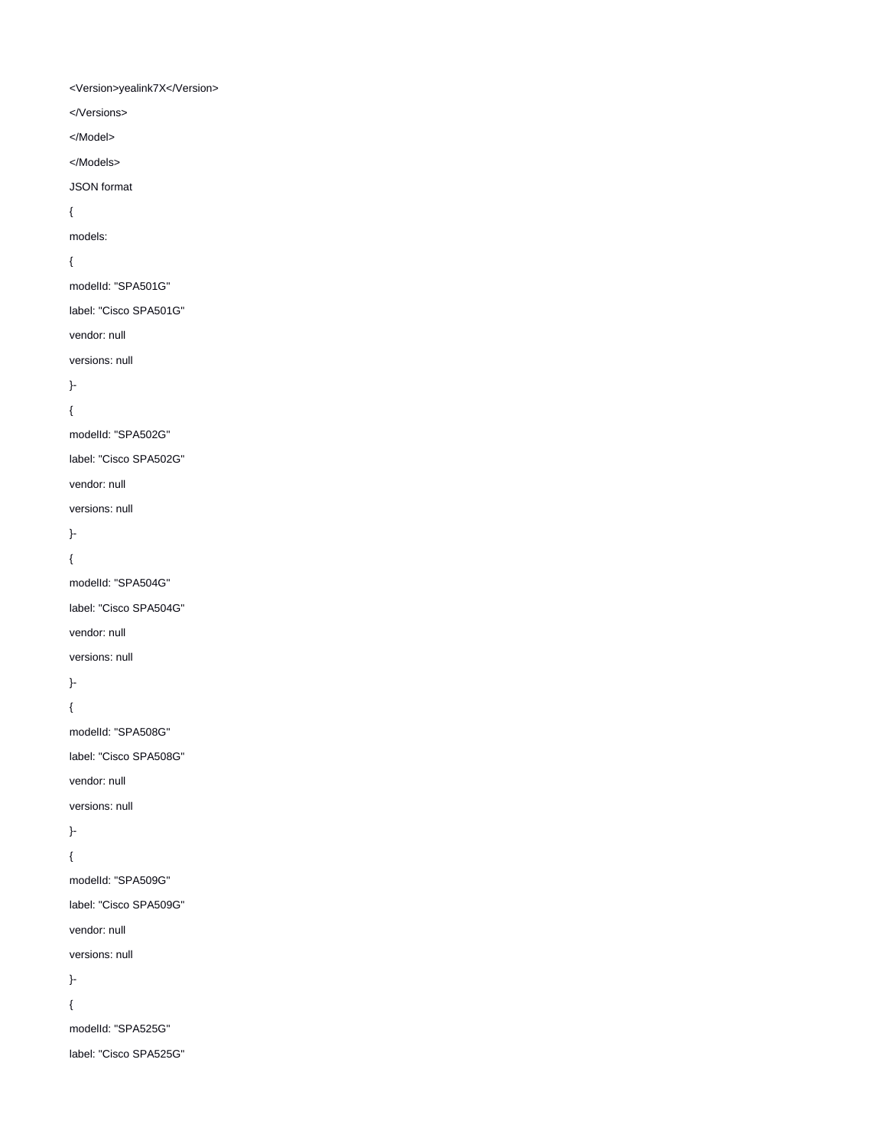<Version>yealink7X</Version>

</Versions>

</Model>

</Models>

JSON format

{

models:

### {

modelId: "SPA501G"

label: "Cisco SPA501G"

vendor: null

versions: null

}-

{

modelId: "SPA502G"

label: "Cisco SPA502G"

vendor: null

versions: null

}-

{

modelId: "SPA504G"

label: "Cisco SPA504G"

vendor: null

versions: null

}-

{

modelId: "SPA508G"

label: "Cisco SPA508G"

vendor: null

versions: null

}-

{

modelId: "SPA509G"

label: "Cisco SPA509G"

vendor: null

versions: null

}-

{

modelId: "SPA525G"

label: "Cisco SPA525G"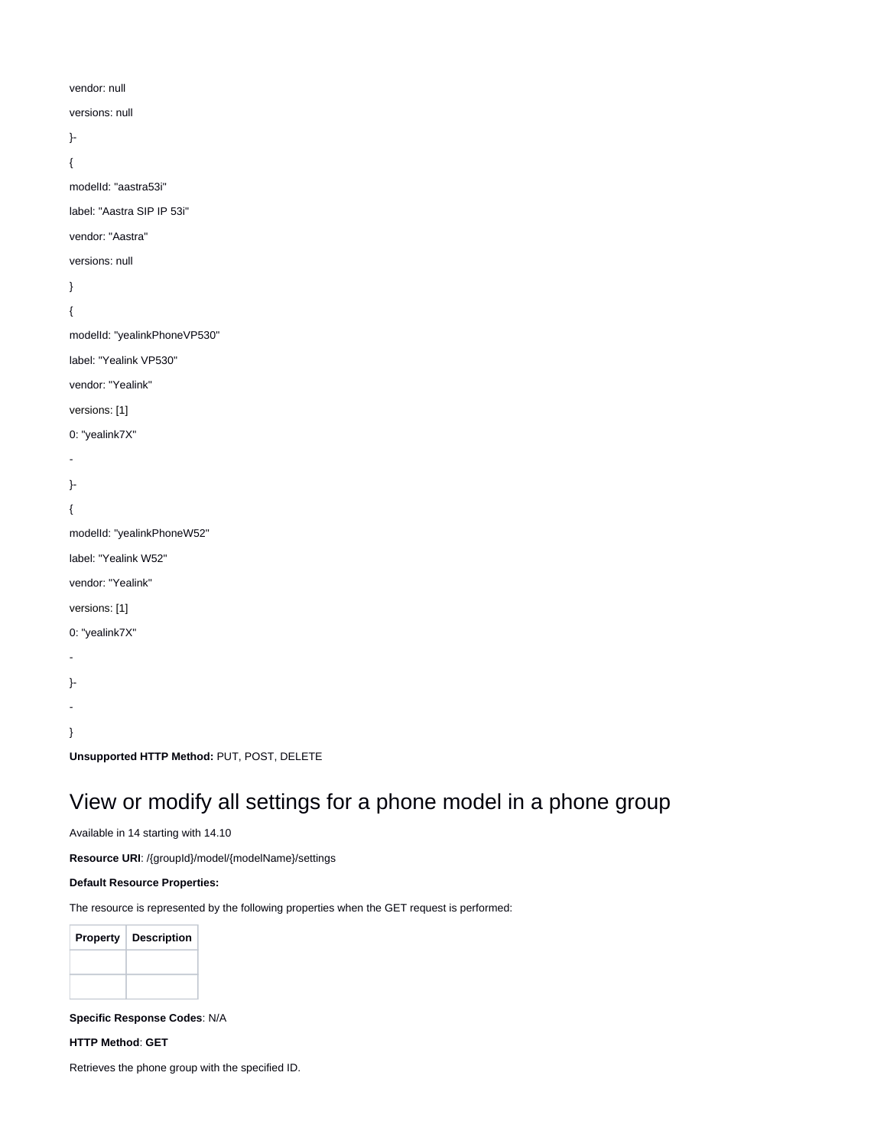```
vendor: null
versions: null
}-
{
modelId: "aastra53i"
label: "Aastra SIP IP 53i"
vendor: "Aastra"
versions: null
}
{
modelId: "yealinkPhoneVP530"
label: "Yealink VP530"
vendor: "Yealink"
versions: [1]
0: "yealink7X"
-
}-
{
modelId: "yealinkPhoneW52"
label: "Yealink W52"
vendor: "Yealink"
versions: [1]
0: "yealink7X"
-
}-
-
}
Unsupported HTTP Method: PUT, POST, DELETE
```
## <span id="page-5-0"></span>View or modify all settings for a phone model in a phone group

Available in 14 starting with 14.10

**Resource URI**: /{groupId}/model/{modelName}/settings

#### **Default Resource Properties:**

The resource is represented by the following properties when the GET request is performed:

| <b>Property</b> | <b>Description</b> |
|-----------------|--------------------|
|                 |                    |
|                 |                    |

#### **Specific Response Codes**: N/A

**HTTP Method**: **GET**

Retrieves the phone group with the specified ID.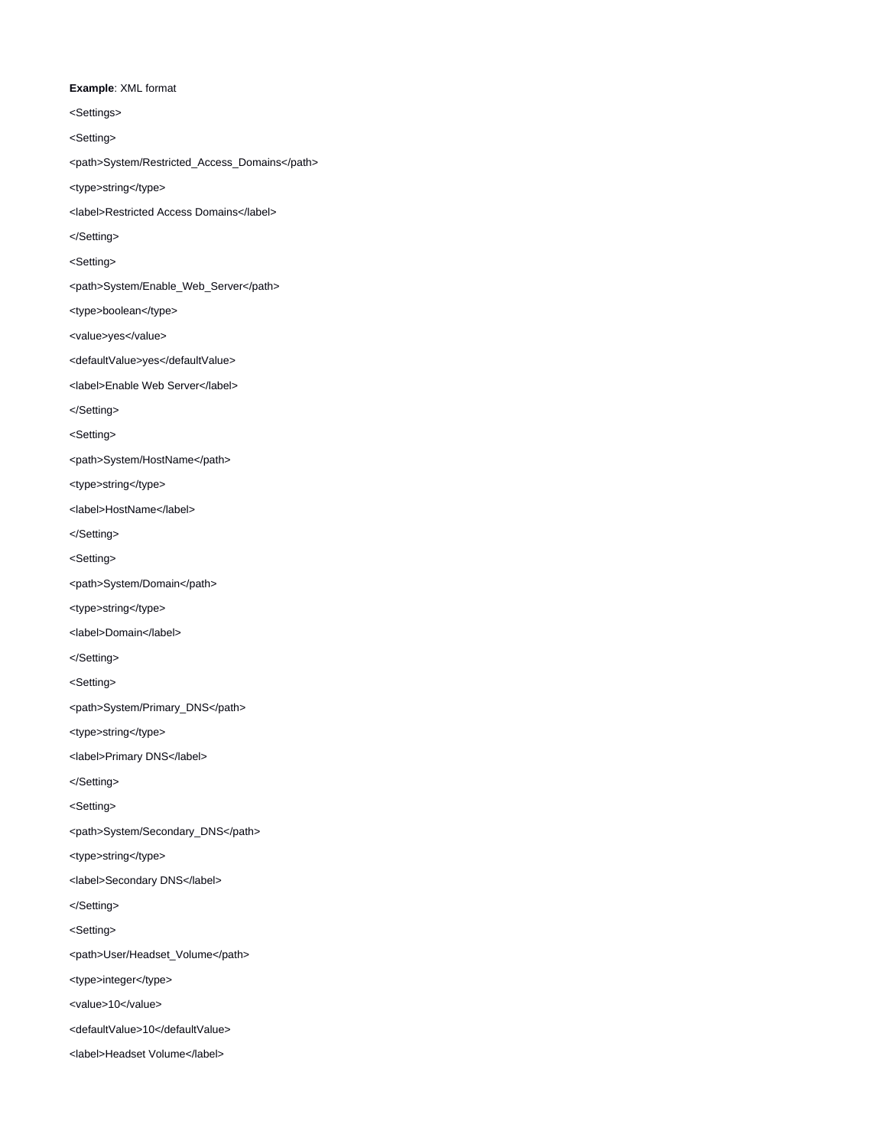#### **Example**: XML format

<Settings>

<Setting>

- <path>System/Restricted\_Access\_Domains</path>
- <type>string</type>
- <label>Restricted Access Domains</label>
- </Setting>
- <Setting>
- <path>System/Enable\_Web\_Server</path>
- <type>boolean</type>
- <value>yes</value>
- <defaultValue>yes</defaultValue>
- <label>Enable Web Server</label>
- </Setting>
- <Setting>
- <path>System/HostName</path>
- <type>string</type>
- <label>HostName</label>
- </Setting>
- <Setting>
- <path>System/Domain</path>
- <type>string</type>
- <label>Domain</label>
- </Setting>
- <Setting>
- <path>System/Primary\_DNS</path>
- <type>string</type>
- <label>Primary DNS</label>
- </Setting>
- <Setting>
- <path>System/Secondary\_DNS</path>
- <type>string</type>
- <label>Secondary DNS</label>
- </Setting>
- <Setting>
- <path>User/Headset\_Volume</path>
- <type>integer</type>
- <value>10</value>
- <defaultValue>10</defaultValue>
- <label>Headset Volume</label>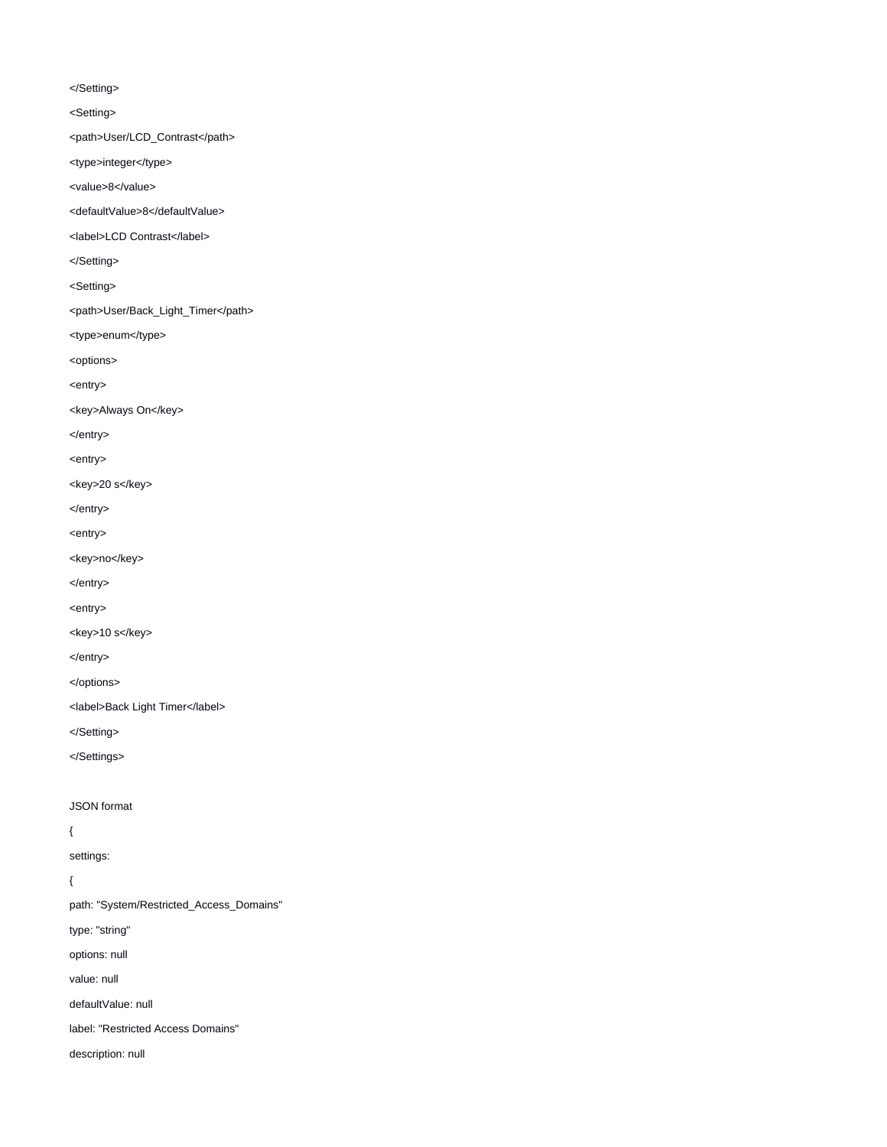#### </Setting>

<Setting>

<path>User/LCD\_Contrast</path>

<type>integer</type>

<value>8</value>

<defaultValue>8</defaultValue>

<label>LCD Contrast</label>

</Setting>

<Setting>

<path>User/Back\_Light\_Timer</path>

<type>enum</type>

<options>

<entry>

<key>Always On</key>

</entry>

<entry>

<key>20 s</key>

</entry>

<entry>

<key>no</key>

</entry>

<entry>

<key>10 s</key>

</entry>

</options>

<label>Back Light Timer</label>

</Setting>

</Settings>

JSON format

{

settings:

{

path: "System/Restricted\_Access\_Domains"

type: "string"

options: null

value: null

defaultValue: null

label: "Restricted Access Domains"

description: null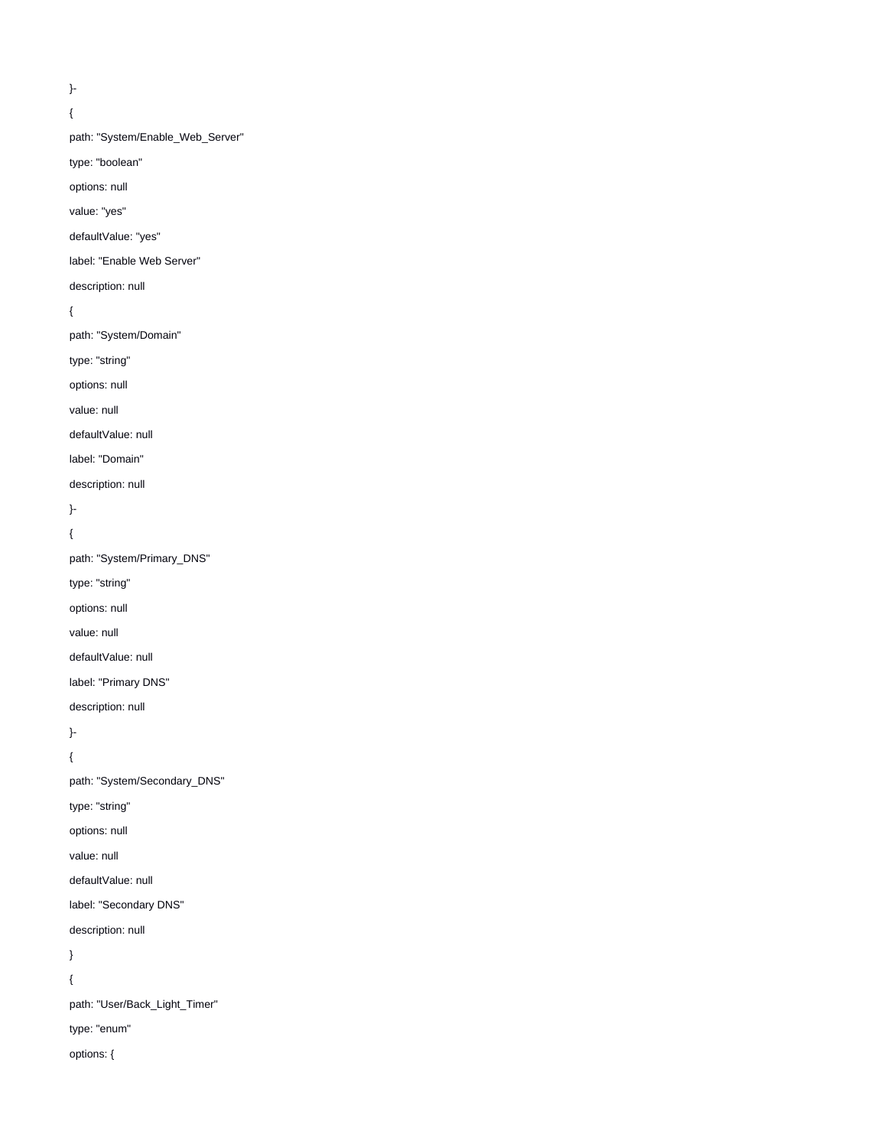```
}-
```
{

path: "System/Enable\_Web\_Server"

type: "boolean"

options: null

value: "yes"

defaultValue: "yes"

label: "Enable Web Server"

description: null

{

path: "System/Domain"

type: "string"

options: null

value: null

defaultValue: null

label: "Domain"

description: null

}-

{

path: "System/Primary\_DNS"

type: "string"

options: null

value: null

defaultValue: null

label: "Primary DNS"

description: null

}-

{

path: "System/Secondary\_DNS"

type: "string"

options: null

value: null

defaultValue: null

label: "Secondary DNS"

description: null

}

{

path: "User/Back\_Light\_Timer"

type: "enum"

options: {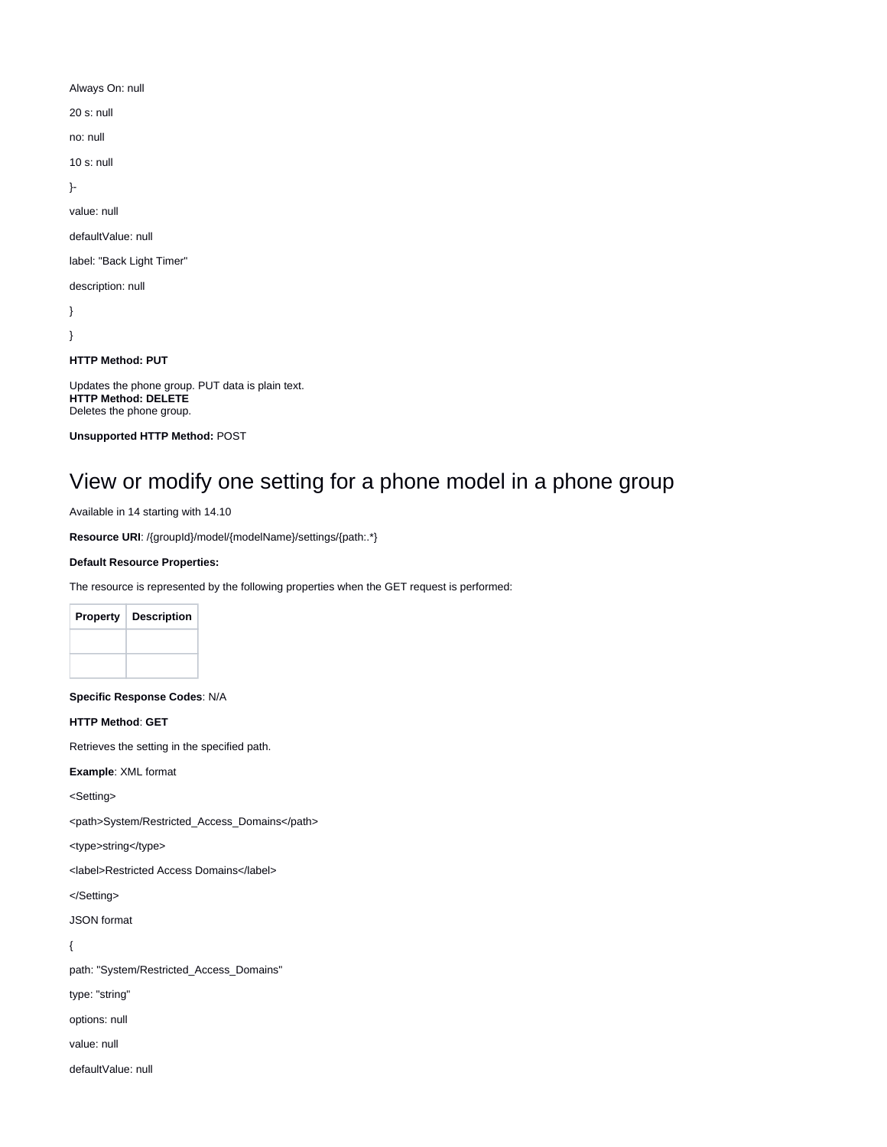Always On: null

20 s: null

no: null

10 s: null

}-

value: null

defaultValue: null

label: "Back Light Timer"

description: null

} }

**HTTP Method: PUT**

Updates the phone group. PUT data is plain text. **HTTP Method: DELETE** Deletes the phone group.

**Unsupported HTTP Method:** POST

# <span id="page-9-0"></span>View or modify one setting for a phone model in a phone group

Available in 14 starting with 14.10

**Resource URI**: /{groupId}/model/{modelName}/settings/{path:.\*}

#### **Default Resource Properties:**

The resource is represented by the following properties when the GET request is performed:

| <b>Property</b> | <b>Description</b> |
|-----------------|--------------------|
|                 |                    |
|                 |                    |

**Specific Response Codes**: N/A

**HTTP Method**: **GET**

Retrieves the setting in the specified path.

**Example**: XML format

<Setting>

<path>System/Restricted\_Access\_Domains</path>

<type>string</type>

<label>Restricted Access Domains</label>

</Setting>

JSON format

{

path: "System/Restricted\_Access\_Domains"

type: "string"

options: null

value: null

defaultValue: null